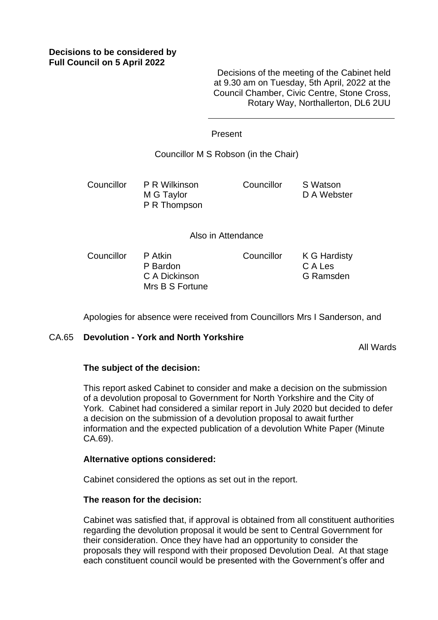# **Decisions to be considered by Full Council on 5 April 2022**

Decisions of the meeting of the Cabinet held at 9.30 am on Tuesday, 5th April, 2022 at the Council Chamber, Civic Centre, Stone Cross, Rotary Way, Northallerton, DL6 2UU

#### Present

### Councillor M S Robson (in the Chair)

Councillor P R Wilkinson M G Taylor P R Thompson Councillor S Watson D A Webster

#### Also in Attendance

Councillor P Atkin P Bardon C A Dickinson Mrs B S Fortune Councillor K G Hardisty C A Les G Ramsden

Apologies for absence were received from Councillors Mrs I Sanderson, and

#### CA.65 **Devolution - York and North Yorkshire**

All Wards

#### **The subject of the decision:**

This report asked Cabinet to consider and make a decision on the submission of a devolution proposal to Government for North Yorkshire and the City of York. Cabinet had considered a similar report in July 2020 but decided to defer a decision on the submission of a devolution proposal to await further information and the expected publication of a devolution White Paper (Minute CA.69).

#### **Alternative options considered:**

Cabinet considered the options as set out in the report.

#### **The reason for the decision:**

Cabinet was satisfied that, if approval is obtained from all constituent authorities regarding the devolution proposal it would be sent to Central Government for their consideration. Once they have had an opportunity to consider the proposals they will respond with their proposed Devolution Deal. At that stage each constituent council would be presented with the Government's offer and